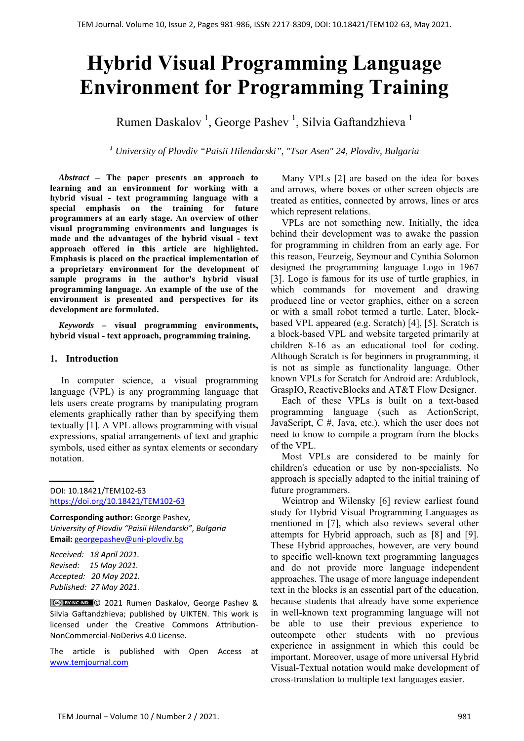# **Hybrid Visual Programming Language Environment for Programming Training**

Rumen Daskalov <sup>1</sup>, George Pashev <sup>1</sup>, Silvia Gaftandzhieva <sup>1</sup>

*1 University of Plovdiv "Paisii Hilendarski", "Tsar Asen" 24, Plovdiv, Bulgaria*

*Abstract –* **The paper presents an approach to learning and an environment for working with a hybrid visual - text programming language with a special emphasis on the training for future programmers at an early stage. An overview of other visual programming environments and languages is made and the advantages of the hybrid visual - text approach offered in this article are highlighted. Emphasis is placed on the practical implementation of a proprietary environment for the development of sample programs in the author's hybrid visual programming language. An example of the use of the environment is presented and perspectives for its development are formulated.** 

*Keywords –* **visual programming environments, hybrid visual - text approach, programming training.** 

# **1. Introduction**

 In computer science, a visual programming language (VPL) is any programming language that lets users create programs by manipulating program elements graphically rather than by specifying them textually [1]. A VPL allows programming with visual expressions, spatial arrangements of text and graphic symbols, used either as syntax elements or secondary notation.

DOI: 10.18421/TEM102-63 [https://doi.org/10.18421/TEM102](https://doi.org/10.18421/TEM102-63)-63

**Corresponding author:** George Pashev, *University of Plovdiv "Paisii Hilendarski"*, *Bulgaria*  **Email:** georgepashev@uni‐plovdiv.bg

*Received: 18 April 2021. Revised: 15 May 2021. Accepted: 20 May 2021. Published: 27 May 2021.* 

© 2021 Rumen Daskalov, George Pashev & Silvia Gaftandzhieva; published by UIKTEN. This work is licensed under the Creative Commons Attribution‐ NonCommercial‐NoDerivs 4.0 License.

The article is published with Open Access at www.temjournal.com

 Many VPLs [2] are based on the idea for boxes and arrows, where boxes or other screen objects are treated as entities, connected by arrows, lines or arcs which represent relations.

 VPLs are not something new. Initially, the idea behind their development was to awake the passion for programming in children from an early age. For this reason, Feurzeig, Seymour and Cynthia Solomon designed the programming language Logo in 1967 [3]. Logo is famous for its use of turtle graphics, in which commands for movement and drawing produced line or vector graphics, either on a screen or with a small robot termed a turtle. Later, blockbased VPL appeared (e.g. Scratch) [4], [5]. Scratch is a block-based VPL and website targeted primarily at children 8-16 as an educational tool for coding. Although Scratch is for beginners in programming, it is not as simple as functionality language. Other known VPLs for Scratch for Android are: Ardublock, GraspIO, ReactiveBlocks and AT&T Flow Designer.

 Each of these VPLs is built on a text-based programming language (such as ActionScript, JavaScript, C #, Java, etc.), which the user does not need to know to compile a program from the blocks of the VPL.

 Most VPLs are considered to be mainly for children's education or use by non-specialists. No approach is specially adapted to the initial training of future programmers.

 Weintrop and Wilensky [6] review earliest found study for Hybrid Visual Programming Languages as mentioned in [7], which also reviews several other attempts for Hybrid approach, such as [8] and [9]. These Hybrid approaches, however, are very bound to specific well-known text programming languages and do not provide more language independent approaches. The usage of more language independent text in the blocks is an essential part of the education, because students that already have some experience in well-known text programming language will not be able to use their previous experience to outcompete other students with no previous experience in assignment in which this could be important. Moreover, usage of more universal Hybrid Visual-Textual notation would make development of cross-translation to multiple text languages easier.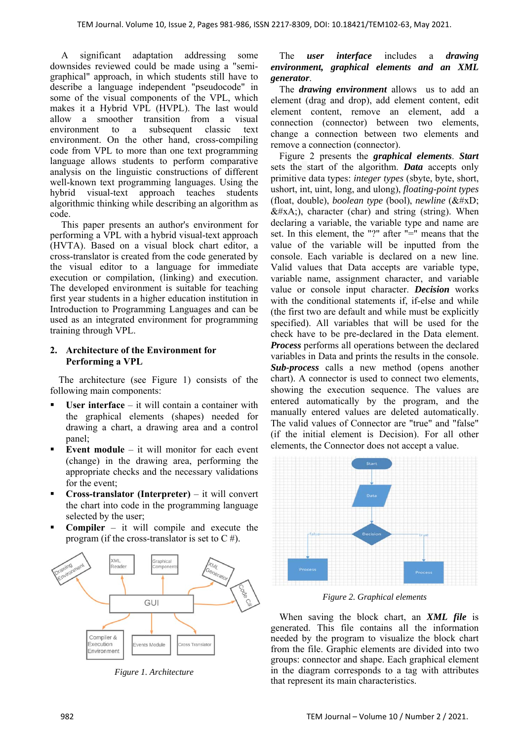A significant adaptation addressing some downsides reviewed could be made using a "semigraphical" approach, in which students still have to describe a language independent "pseudocode" in some of the visual components of the VPL, which makes it a Hybrid VPL (HVPL). The last would allow a smoother transition from a visual environment to a subsequent classic text environment. On the other hand, cross-compiling code from VPL to more than one text programming language allows students to perform comparative analysis on the linguistic constructions of different well-known text programming languages. Using the hybrid visual-text approach teaches students algorithmic thinking while describing an algorithm as code.

 This paper presents an author's environment for performing a VPL with a hybrid visual-text approach (HVTA). Based on a visual block chart editor, a cross-translator is created from the code generated by the visual editor to a language for immediate execution or compilation, (linking) and execution. The developed environment is suitable for teaching first year students in a higher education institution in Introduction to Programming Languages and can be used as an integrated environment for programming training through VPL.

# **2. Architecture of the Environment for Performing a VPL**

The architecture (see Figure 1) consists of the following main components:

- **User interface** it will contain a container with the graphical elements (shapes) needed for drawing a chart, a drawing area and a control panel;
- **Event module** it will monitor for each event (change) in the drawing area, performing the appropriate checks and the necessary validations for the event;
- **Cross-translator (Interpreter)** it will convert the chart into code in the programming language selected by the user;
- **Compiler** it will compile and execute the program (if the cross-translator is set to  $C \#$ ).



*Figure 1. Architecture* 

## The *user interface* includes a *drawing environment, graphical elements and an XML generator*.

The *drawing environment* allows us to add an element (drag and drop), add element content, edit element content, remove an element, add a connection (connector) between two elements, change a connection between two elements and remove a connection (connector).

Figure 2 presents the *graphical elements*. *Start* sets the start of the algorithm. *Data* accepts only primitive data types: *integer types* (sbyte, byte, short, ushort, int, uint, long, and ulong), *floating-point types* (float, double), *boolean type* (bool), *newline* (
 $&\#xA$ ;), character (char) and string (string). When declaring a variable, the variable type and name are set. In this element, the "?" after "=" means that the value of the variable will be inputted from the console. Each variable is declared on a new line. Valid values that Data accepts are variable type, variable name, assignment character, and variable value or console input character. *Decision* works with the conditional statements if, if-else and while (the first two are default and while must be explicitly specified). All variables that will be used for the check have to be pre-declared in the Data element. *Process* performs all operations between the declared variables in Data and prints the results in the console. *Sub-process* calls a new method (opens another chart). A connector is used to connect two elements, showing the execution sequence. The values are entered automatically by the program, and the manually entered values are deleted automatically. The valid values of Connector are "true" and "false" (if the initial element is Decision). For all other elements, the Connector does not accept a value.



*Figure 2. Graphical elements* 

When saving the block chart, an *XML file* is generated. This file contains all the information needed by the program to visualize the block chart from the file. Graphic elements are divided into two groups: connector and shape. Each graphical element in the diagram corresponds to a tag with attributes that represent its main characteristics.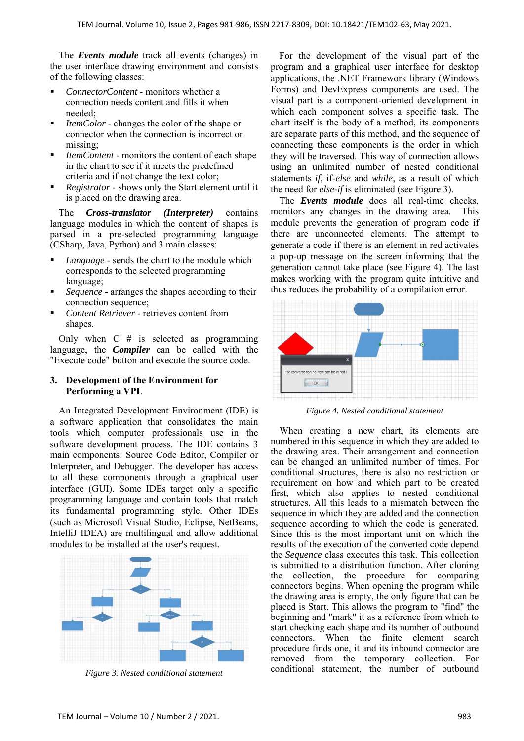The *Events module* track all events (changes) in the user interface drawing environment and consists of the following classes:

- *ConnectorContent*  monitors whether a connection needs content and fills it when needed;
- *ItemColor* changes the color of the shape or connector when the connection is incorrect or missing;
- *ItemContent* monitors the content of each shape in the chart to see if it meets the predefined criteria and if not change the text color;
- *Registrator* shows only the Start element until it is placed on the drawing area.

The *Cross-translator (Interpreter)* contains language modules in which the content of shapes is parsed in a pre-selected programming language (CSharp, Java, Python) and 3 main classes:

- *Language* sends the chart to the module which corresponds to the selected programming language;
- *Sequence* arranges the shapes according to their connection sequence;
- *Content Retriever* retrieves content from shapes.

Only when  $C \#$  is selected as programming language, the *Compiler* can be called with the "Execute code" button and execute the source code.

## **3. Development of the Environment for Performing a VPL**

An Integrated Development Environment (IDE) is a software application that consolidates the main tools which computer professionals use in the software development process. The IDE contains 3 main components: Source Code Editor, Compiler or Interpreter, and Debugger. The developer has access to all these components through a graphical user interface (GUI). Some IDEs target only a specific programming language and contain tools that match its fundamental programming style. Other IDEs (such as Microsoft Visual Studio, Eclipse, NetBeans, IntelliJ IDEA) are multilingual and allow additional modules to be installed at the user's request.



*Figure 3. Nested conditional statement* 

For the development of the visual part of the program and a graphical user interface for desktop applications, the .NET Framework library (Windows Forms) and DevExpress components are used. The visual part is a component-oriented development in which each component solves a specific task. The chart itself is the body of a method, its components are separate parts of this method, and the sequence of connecting these components is the order in which they will be traversed. This way of connection allows using an unlimited number of nested conditional statements *if*, if-*else* and *while*, as a result of which the need for *else-if* is eliminated (see Figure 3).

The *Events module* does all real-time checks, monitors any changes in the drawing area. This module prevents the generation of program code if there are unconnected elements. The attempt to generate a code if there is an element in red activates a pop-up message on the screen informing that the generation cannot take place (see Figure 4). The last makes working with the program quite intuitive and thus reduces the probability of a compilation error.



*Figure 4. Nested conditional statement* 

When creating a new chart, its elements are numbered in this sequence in which they are added to the drawing area. Their arrangement and connection can be changed an unlimited number of times. For conditional structures, there is also no restriction or requirement on how and which part to be created first, which also applies to nested conditional structures. All this leads to a mismatch between the sequence in which they are added and the connection sequence according to which the code is generated. Since this is the most important unit on which the results of the execution of the converted code depend the *Sequence* class executes this task. This collection is submitted to a distribution function. After cloning the collection, the procedure for comparing connectors begins. When opening the program while the drawing area is empty, the only figure that can be placed is Start. This allows the program to "find" the beginning and "mark" it as a reference from which to start checking each shape and its number of outbound connectors. When the finite element search procedure finds one, it and its inbound connector are removed from the temporary collection. For conditional statement, the number of outbound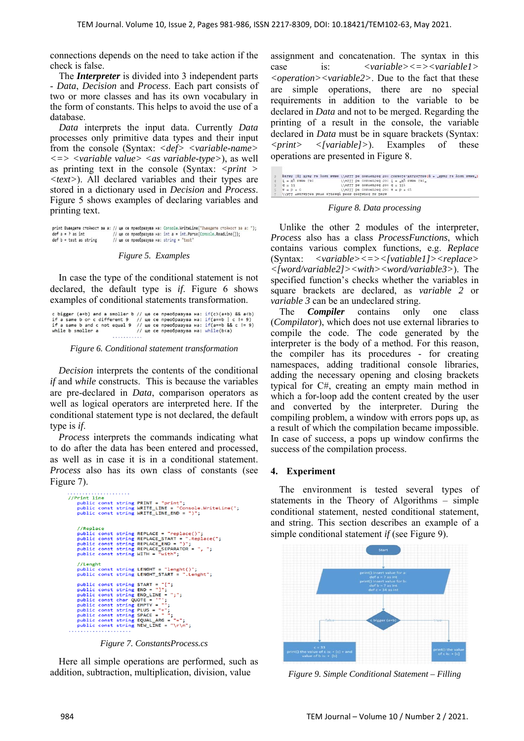connections depends on the need to take action if the check is false.

The *Interpreter* is divided into 3 independent parts - *Data*, *Decision* and *Process*. Each part consists of two or more classes and has its own vocabulary in the form of constants. This helps to avoid the use of a database.

*Data* interprets the input data. Currently *Data* processes only primitive data types and their input from the console (Syntax: *<def> <variable-name> <=> <variable value> <as variable-type>*), as well as printing text in the console (Syntax: *<print > <text>*). All declared variables and their types are stored in a dictionary used in *Decision* and *Process*. Figure 5 shows examples of declaring variables and printing text.

print Въведете стойност за а: // ще се преобразува на: Console.WriteLine("Въведете стойност за а: ");  $def$   $a = 2$  as  $int$ // we ce преобразува на: int a = int.Parse(Console.ReadLine());  $def b = test as string$ // ще се преобразува на: string = "test"

*Figure 5. Examples* 

In case the type of the conditional statement is not declared, the default type is *if*. Figure 6 shows examples of conditional statements transformation.

c bigger (a+b) and a smoller b // ще се преобразува на: if(c>(a+b) && a<b)  $if a same b or c different 9 // we be preofpaayba na: if(a=b | c != 9) if a same b and c not equal 9 // we be preofpaayba na: if(a=b | c != 9) if a same b and c not equal 9 // we be preofpaayba na: if(a=b & c != 9) while b smaller a // we be preofpaayba na: while(b$ . . . . . . . . . . .

*Figure 6. Conditional statement transformation* 

*Decision* interprets the contents of the conditional *if* and *while* constructs. This is because the variables are pre-declared in *Data*, comparison operators as well as logical operators are interpreted here. If the conditional statement type is not declared, the default type is *if*.

*Process* interprets the commands indicating what to do after the data has been entered and processed, as well as in case it is in a conditional statement. *Process* also has its own class of constants (see Figure 7).



*Figure 7. ConstantsProcess.cs* 

Here all simple operations are performed, such as addition, subtraction, multiplication, division, value

assignment and concatenation. The syntax in this case is: *<variable><=><variable1> <operation><variable2>*. Due to the fact that these are simple operations, there are no special requirements in addition to the variable to be declared in *Data* and not to be merged. Regarding the printing of a result in the console, the variable declared in *Data* must be in square brackets (Syntax: *<print> <[variable]>*). Examples of these operations are presented in Figure 8.

|                                                    |  |                                    | print [g] What is your name //will be converted to: Console.WriteLine(g + "What is your name") |
|----------------------------------------------------|--|------------------------------------|------------------------------------------------------------------------------------------------|
| $f = My$ name is:                                  |  |                                    | //will be converted to: $f = "My name is: "$                                                   |
| $9 = 33$                                           |  | //will be converted to: $d = 33$ ; |                                                                                                |
| $\mathcal{G} = \mathcal{D} + \mathcal{C}$          |  |                                    | $\N$ / / ATT pe conserred for $a = b + c$ :                                                    |
| //All variables have already been declared in Data |  |                                    |                                                                                                |

*Figure 8. Data processing* 

Unlike the other 2 modules of the interpreter, *Process* also has a class *ProcessFunctions*, which contains various complex functions, e.g. *Replace* (Syntax: *<variable><=><[vatiable1]><replace> <[word/variable2]><with><word/variable3>*). The specified function's checks whether the variables in square brackets are declared, as *variable 2* or *variable 3* can be an undeclared string.

The *Compiler* contains only one class (*Compilator*), which does not use external libraries to compile the code. The code generated by the interpreter is the body of a method. For this reason, the compiler has its procedures - for creating namespaces, adding traditional console libraries, adding the necessary opening and closing brackets typical for C#, creating an empty main method in which a for-loop add the content created by the user and converted by the interpreter. During the compiling problem, a window with errors pops up, as a result of which the compilation became impossible. In case of success, a pops up window confirms the success of the compilation process.

#### **4. Experiment**

The environment is tested several types of statements in the Theory of Algorithms – simple conditional statement, nested conditional statement, and string. This section describes an example of a simple conditional statement *if* (see Figure 9).



*Figure 9. Simple Conditional Statement – Filling*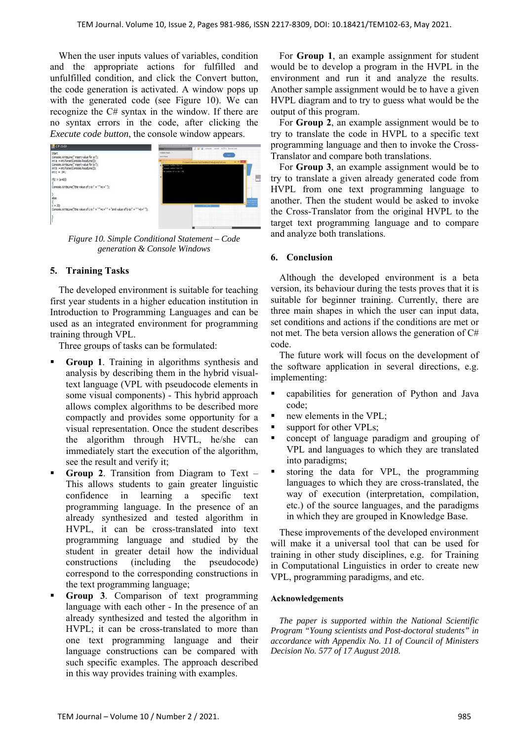When the user inputs values of variables, condition and the appropriate actions for fulfilled and unfulfilled condition, and click the Convert button, the code generation is activated. A window pops up with the generated code (see Figure 10). We can recognize the C# syntax in the window. If there are no syntax errors in the code, after clicking the *Execute code button*, the console window appears.



*Figure 10. Simple Conditional Statement – Code generation & Console Windows* 

# **5. Training Tasks**

The developed environment is suitable for teaching first year students in a higher education institution in Introduction to Programming Languages and can be used as an integrated environment for programming training through VPL.

Three groups of tasks can be formulated:

- **Group 1**. Training in algorithms synthesis and analysis by describing them in the hybrid visualtext language (VPL with pseudocode elements in some visual components) - This hybrid approach allows complex algorithms to be described more compactly and provides some opportunity for a visual representation. Once the student describes the algorithm through HVTL, he/she can immediately start the execution of the algorithm, see the result and verify it;
- **Group 2**. Transition from Diagram to Text This allows students to gain greater linguistic confidence in learning a specific text programming language. In the presence of an already synthesized and tested algorithm in HVPL, it can be cross-translated into text programming language and studied by the student in greater detail how the individual constructions (including the pseudocode) correspond to the corresponding constructions in the text programming language;
- **Group 3**. Comparison of text programming language with each other - In the presence of an already synthesized and tested the algorithm in HVPL; it can be cross-translated to more than one text programming language and their language constructions can be compared with such specific examples. The approach described in this way provides training with examples.

For **Group 1**, an example assignment for student would be to develop a program in the HVPL in the environment and run it and analyze the results. Another sample assignment would be to have a given HVPL diagram and to try to guess what would be the output of this program.

For **Group 2**, an example assignment would be to try to translate the code in HVPL to a specific text programming language and then to invoke the Cross-Translator and compare both translations.

For **Group 3**, an example assignment would be to try to translate a given already generated code from HVPL from one text programming language to another. Then the student would be asked to invoke the Cross-Translator from the original HVPL to the target text programming language and to compare and analyze both translations.

## **6. Conclusion**

Although the developed environment is a beta version, its behaviour during the tests proves that it is suitable for beginner training. Currently, there are three main shapes in which the user can input data, set conditions and actions if the conditions are met or not met. The beta version allows the generation of C# code.

The future work will focus on the development of the software application in several directions, e.g. implementing:

- capabilities for generation of Python and Java code;
- new elements in the VPL;
- support for other VPLs:
- concept of language paradigm and grouping of VPL and languages to which they are translated into paradigms;
- storing the data for VPL, the programming languages to which they are cross-translated, the way of execution (interpretation, compilation, etc.) of the source languages, and the paradigms in which they are grouped in Knowledge Base.

These improvements of the developed environment will make it a universal tool that can be used for training in other study disciplines, e.g. for Training in Computational Linguistics in order to create new VPL, programming paradigms, and etc.

#### **Acknowledgements**

*The paper is supported within the National Scientific Program "Young scientists and Post-doctoral students" in accordance with Appendix No. 11 of Council of Ministers Decision No. 577 of 17 August 2018.*